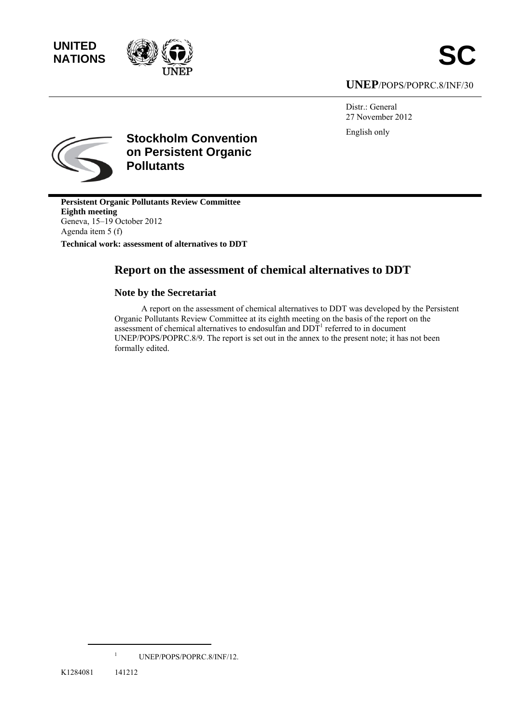**UNITED** 



## **UNEP**/POPS/POPRC.8/INF/30

Distr.: General 27 November 2012 English only



**Stockholm Convention on Persistent Organic Pollutants** 

**Persistent Organic Pollutants Review Committee Eighth meeting**  Geneva, 15–19 October 2012 Agenda item 5 (f) **Technical work: assessment of alternatives to DDT** 

# **Report on the assessment of chemical alternatives to DDT**

## **Note by the Secretariat**

A report on the assessment of chemical alternatives to DDT was developed by the Persistent Organic Pollutants Review Committee at its eighth meeting on the basis of the report on the assessment of chemical alternatives to endosulfan and  $DDT<sup>1</sup>$  referred to in document UNEP/POPS/POPRC.8/9. The report is set out in the annex to the present note; it has not been formally edited.

<sup>1</sup> UNEP/POPS/POPRC.8/INF/12.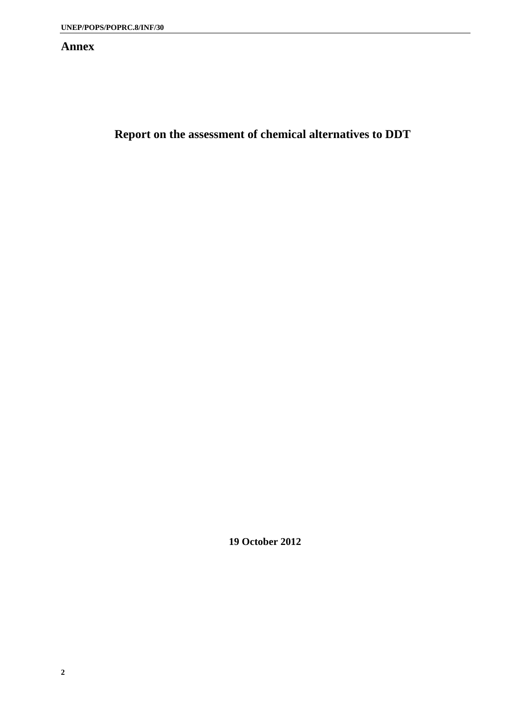## **Annex**

**Report on the assessment of chemical alternatives to DDT** 

**19 October 2012**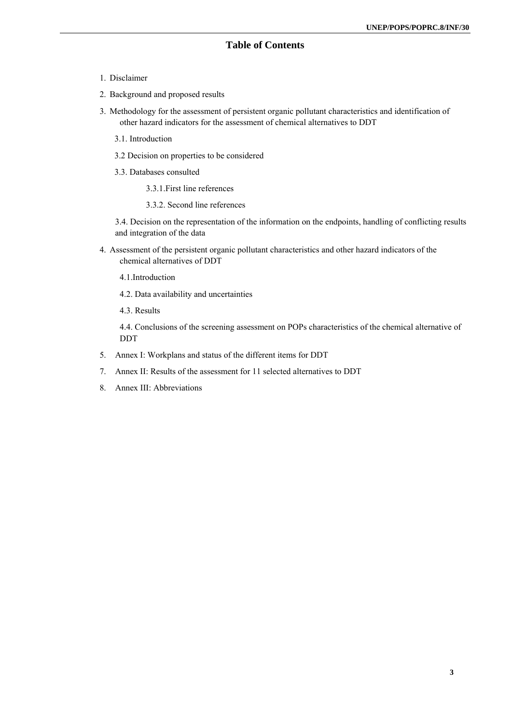## **Table of Contents**

- 1. Disclaimer
- 2. Background and proposed results
- 3. Methodology for the assessment of persistent organic pollutant characteristics and identification of other hazard indicators for the assessment of chemical alternatives to DDT
	- 3.1. Introduction
	- 3.2 Decision on properties to be considered
	- 3.3. Databases consulted
		- 3.3.1.First line references
		- 3.3.2. Second line references

3.4. Decision on the representation of the information on the endpoints, handling of conflicting results and integration of the data

- 4. Assessment of the persistent organic pollutant characteristics and other hazard indicators of the chemical alternatives of DDT
	- 4.1.Introduction
	- 4.2. Data availability and uncertainties
	- 4.3. Results

4.4. Conclusions of the screening assessment on POPs characteristics of the chemical alternative of DDT

- 5. Annex I: Workplans and status of the different items for DDT
- 7. Annex II: Results of the assessment for 11 selected alternatives to DDT
- 8. Annex III: Abbreviations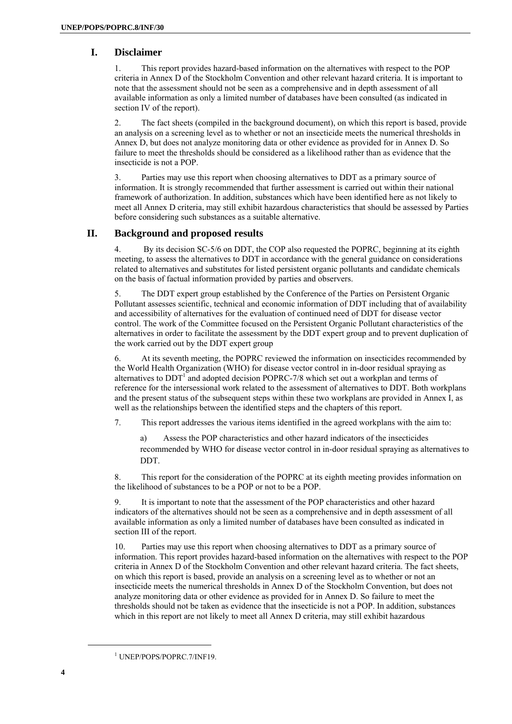#### **I. Disclaimer**

1. This report provides hazard-based information on the alternatives with respect to the POP criteria in Annex D of the Stockholm Convention and other relevant hazard criteria. It is important to note that the assessment should not be seen as a comprehensive and in depth assessment of all available information as only a limited number of databases have been consulted (as indicated in section IV of the report).

2. The fact sheets (compiled in the background document), on which this report is based, provide an analysis on a screening level as to whether or not an insecticide meets the numerical thresholds in Annex D, but does not analyze monitoring data or other evidence as provided for in Annex D. So failure to meet the thresholds should be considered as a likelihood rather than as evidence that the insecticide is not a POP.

3. Parties may use this report when choosing alternatives to DDT as a primary source of information. It is strongly recommended that further assessment is carried out within their national framework of authorization. In addition, substances which have been identified here as not likely to meet all Annex D criteria, may still exhibit hazardous characteristics that should be assessed by Parties before considering such substances as a suitable alternative.

#### **II. Background and proposed results**

4. By its decision SC-5/6 on DDT, the COP also requested the POPRC, beginning at its eighth meeting, to assess the alternatives to DDT in accordance with the general guidance on considerations related to alternatives and substitutes for listed persistent organic pollutants and candidate chemicals on the basis of factual information provided by parties and observers.

5. The DDT expert group established by the Conference of the Parties on Persistent Organic Pollutant assesses scientific, technical and economic information of DDT including that of availability and accessibility of alternatives for the evaluation of continued need of DDT for disease vector control. The work of the Committee focused on the Persistent Organic Pollutant characteristics of the alternatives in order to facilitate the assessment by the DDT expert group and to prevent duplication of the work carried out by the DDT expert group

6. At its seventh meeting, the POPRC reviewed the information on insecticides recommended by the World Health Organization (WHO) for disease vector control in in-door residual spraying as alternatives to  $DDT<sup>T</sup>$  and adopted decision POPRC-7/8 which set out a workplan and terms of reference for the intersessional work related to the assessment of alternatives to DDT. Both workplans and the present status of the subsequent steps within these two workplans are provided in Annex I, as well as the relationships between the identified steps and the chapters of this report.

7. This report addresses the various items identified in the agreed workplans with the aim to:

a) Assess the POP characteristics and other hazard indicators of the insecticides recommended by WHO for disease vector control in in-door residual spraying as alternatives to DDT.

8. This report for the consideration of the POPRC at its eighth meeting provides information on the likelihood of substances to be a POP or not to be a POP.

9. It is important to note that the assessment of the POP characteristics and other hazard indicators of the alternatives should not be seen as a comprehensive and in depth assessment of all available information as only a limited number of databases have been consulted as indicated in section III of the report.

10. Parties may use this report when choosing alternatives to DDT as a primary source of information. This report provides hazard-based information on the alternatives with respect to the POP criteria in Annex D of the Stockholm Convention and other relevant hazard criteria. The fact sheets, on which this report is based, provide an analysis on a screening level as to whether or not an insecticide meets the numerical thresholds in Annex D of the Stockholm Convention, but does not analyze monitoring data or other evidence as provided for in Annex D. So failure to meet the thresholds should not be taken as evidence that the insecticide is not a POP. In addition, substances which in this report are not likely to meet all Annex D criteria, may still exhibit hazardous

<sup>1</sup> UNEP/POPS/POPRC.7/INF19.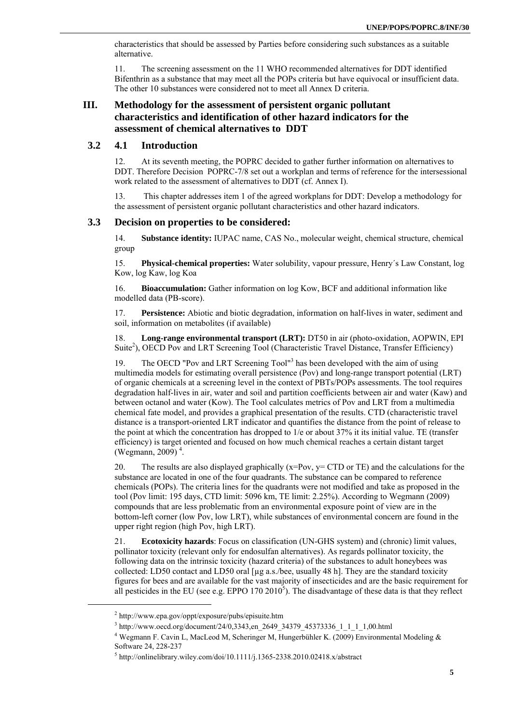characteristics that should be assessed by Parties before considering such substances as a suitable alternative.

11. The screening assessment on the 11 WHO recommended alternatives for DDT identified Bifenthrin as a substance that may meet all the POPs criteria but have equivocal or insufficient data. The other 10 substances were considered not to meet all Annex D criteria.

## **III. Methodology for the assessment of persistent organic pollutant characteristics and identification of other hazard indicators for the assessment of chemical alternatives to DDT**

#### **3.2 4.1 Introduction**

12. At its seventh meeting, the POPRC decided to gather further information on alternatives to DDT. Therefore Decision POPRC-7/8 set out a workplan and terms of reference for the intersessional work related to the assessment of alternatives to DDT (cf. Annex I).

13. This chapter addresses item 1 of the agreed workplans for DDT: Develop a methodology for the assessment of persistent organic pollutant characteristics and other hazard indicators.

#### **3.3 Decision on properties to be considered:**

14. **Substance identity:** IUPAC name, CAS No., molecular weight, chemical structure, chemical group

15. **Physical-chemical properties:** Water solubility, vapour pressure, Henry´s Law Constant, log Kow, log Kaw, log Koa

16. **Bioaccumulation:** Gather information on log Kow, BCF and additional information like modelled data (PB-score).

17. **Persistence:** Abiotic and biotic degradation, information on half-lives in water, sediment and soil, information on metabolites (if available)

18. **Long-range environmental transport (LRT):** DT50 in air (photo-oxidation, AOPWIN, EPI Suite<sup>2</sup>), OECD Pov and LRT Screening Tool (Characteristic Travel Distance, Transfer Efficiency)

19. The OECD "Pov and LRT Screening Tool"<sup>3</sup> has been developed with the aim of using multimedia models for estimating overall persistence (Pov) and long-range transport potential (LRT) of organic chemicals at a screening level in the context of PBTs/POPs assessments. The tool requires degradation half-lives in air, water and soil and partition coefficients between air and water (Kaw) and between octanol and water (Kow). The Tool calculates metrics of Pov and LRT from a multimedia chemical fate model, and provides a graphical presentation of the results. CTD (characteristic travel distance is a transport-oriented LRT indicator and quantifies the distance from the point of release to the point at which the concentration has dropped to 1/e or about 37% it its initial value. TE (transfer efficiency) is target oriented and focused on how much chemical reaches a certain distant target (Wegmann, 2009)<sup>4</sup>.

20. The results are also displayed graphically  $(x=Pov, y= CTD \text{ or } TE)$  and the calculations for the substance are located in one of the four quadrants. The substance can be compared to reference chemicals (POPs). The criteria lines for the quadrants were not modified and take as proposed in the tool (Pov limit: 195 days, CTD limit: 5096 km, TE limit: 2.25%). According to Wegmann (2009) compounds that are less problematic from an environmental exposure point of view are in the bottom-left corner (low Pov, low LRT), while substances of environmental concern are found in the upper right region (high Pov, high LRT).

21. **Ecotoxicity hazards**: Focus on classification (UN-GHS system) and (chronic) limit values, pollinator toxicity (relevant only for endosulfan alternatives). As regards pollinator toxicity, the following data on the intrinsic toxicity (hazard criteria) of the substances to adult honeybees was collected: LD50 contact and LD50 oral [µg a.s./bee, usually 48 h]. They are the standard toxicity figures for bees and are available for the vast majority of insecticides and are the basic requirement for all pesticides in the EU (see e.g. EPPO  $170\,2010^5$ ). The disadvantage of these data is that they reflect

 $^{2}$  http://www.epa.gov/oppt/exposure/pubs/episuite.htm<br> $^{3}$  http://www.eed.org/doeument/24/0.3343.org/2640.3

<sup>&</sup>lt;sup>3</sup> http://www.oecd.org/document/24/0,3343,en\_2649\_34379\_45373336\_1\_1\_1\_1,00.html <br><sup>4</sup> Wegmann F. Cavin L, MacLeod M, Scheringer M, Hungerbühler K. (2009) Environmental Modeling & Software 24, 228-237

 $<sup>5</sup>$  http://onlinelibrary.wiley.com/doi/10.1111/j.1365-2338.2010.02418.x/abstract</sup>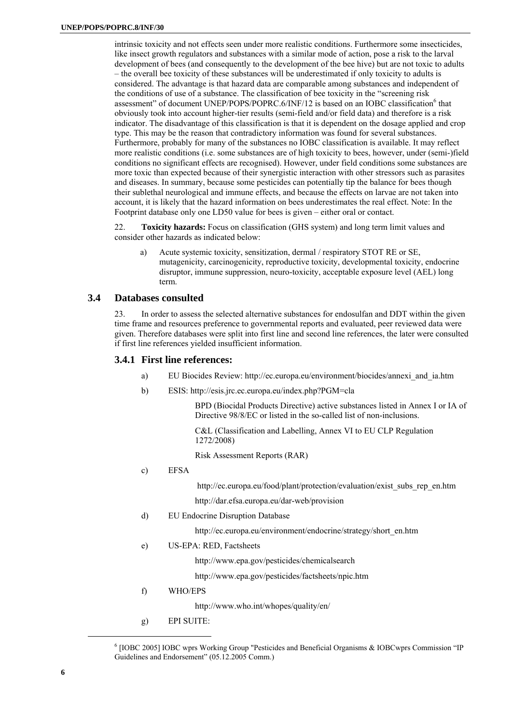intrinsic toxicity and not effects seen under more realistic conditions. Furthermore some insecticides, like insect growth regulators and substances with a similar mode of action, pose a risk to the larval development of bees (and consequently to the development of the bee hive) but are not toxic to adults – the overall bee toxicity of these substances will be underestimated if only toxicity to adults is considered. The advantage is that hazard data are comparable among substances and independent of the conditions of use of a substance. The classification of bee toxicity in the "screening risk assessment" of document UNEP/POPS/POPRC.6/INF/12 is based on an IOBC classification<sup>6</sup> that obviously took into account higher-tier results (semi-field and/or field data) and therefore is a risk indicator. The disadvantage of this classification is that it is dependent on the dosage applied and crop type. This may be the reason that contradictory information was found for several substances. Furthermore, probably for many of the substances no IOBC classification is available. It may reflect more realistic conditions (i.e. some substances are of high toxicity to bees, however, under (semi-)field conditions no significant effects are recognised). However, under field conditions some substances are more toxic than expected because of their synergistic interaction with other stressors such as parasites and diseases. In summary, because some pesticides can potentially tip the balance for bees though their sublethal neurological and immune effects, and because the effects on larvae are not taken into account, it is likely that the hazard information on bees underestimates the real effect. Note: In the Footprint database only one LD50 value for bees is given – either oral or contact.

22. **Toxicity hazards:** Focus on classification (GHS system) and long term limit values and consider other hazards as indicated below:

a) Acute systemic toxicity, sensitization, dermal / respiratory STOT RE or SE, mutagenicity, carcinogenicity, reproductive toxicity, developmental toxicity, endocrine disruptor, immune suppression, neuro-toxicity, acceptable exposure level (AEL) long term.

#### **3.4 Databases consulted**

23. In order to assess the selected alternative substances for endosulfan and DDT within the given time frame and resources preference to governmental reports and evaluated, peer reviewed data were given. Therefore databases were split into first line and second line references, the later were consulted if first line references yielded insufficient information.

#### **3.4.1 First line references:**

- a) EU Biocides Review: http://ec.europa.eu/environment/biocides/annexi\_and\_ia.htm
- b) ESIS: http://esis.jrc.ec.europa.eu/index.php?PGM=cla

 BPD (Biocidal Products Directive) active substances listed in Annex I or IA of Directive 98/8/EC or listed in the so-called list of non-inclusions.

 C&L (Classification and Labelling, Annex VI to EU CLP Regulation 1272/2008)

Risk Assessment Reports (RAR)

c) EFSA

http://ec.europa.eu/food/plant/protection/evaluation/exist\_subs\_rep\_en.htm

http://dar.efsa.europa.eu/dar-web/provision

d) EU Endocrine Disruption Database

http://ec.europa.eu/environment/endocrine/strategy/short\_en.htm

e) US-EPA: RED, Factsheets

http://www.epa.gov/pesticides/chemicalsearch

http://www.epa.gov/pesticides/factsheets/npic.htm

f) WHO/EPS

http://www.who.int/whopes/quality/en/

g) EPI SUITE:

<sup>6</sup> [IOBC 2005] IOBC wprs Working Group "Pesticides and Beneficial Organisms & IOBCwprs Commission "IP Guidelines and Endorsement" (05.12.2005 Comm.)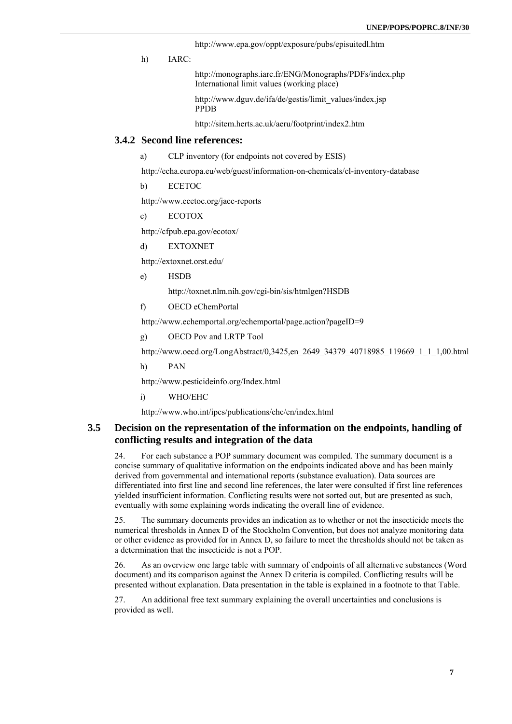http://www.epa.gov/oppt/exposure/pubs/episuitedl.htm

h) IARC:

 http://monographs.iarc.fr/ENG/Monographs/PDFs/index.php International limit values (working place)

 http://www.dguv.de/ifa/de/gestis/limit\_values/index.jsp PPDB

http://sitem.herts.ac.uk/aeru/footprint/index2.htm

#### **3.4.2 Second line references:**

a) CLP inventory (for endpoints not covered by ESIS)

http://echa.europa.eu/web/guest/information-on-chemicals/cl-inventory-database

b) ECETOC

http://www.ecetoc.org/jacc-reports

c) ECOTOX

http://cfpub.epa.gov/ecotox/

d) EXTOXNET

http://extoxnet.orst.edu/

e) HSDB

http://toxnet.nlm.nih.gov/cgi-bin/sis/htmlgen?HSDB

f) OECD eChemPortal

http://www.echemportal.org/echemportal/page.action?pageID=9

g) OECD Pov and LRTP Tool

http://www.oecd.org/LongAbstract/0,3425,en\_2649\_34379\_40718985\_119669\_1\_1\_1,00.html

h) PAN

http://www.pesticideinfo.org/Index.html

i) WHO/EHC

http://www.who.int/ipcs/publications/ehc/en/index.html

#### **3.5 Decision on the representation of the information on the endpoints, handling of conflicting results and integration of the data**

24. For each substance a POP summary document was compiled. The summary document is a concise summary of qualitative information on the endpoints indicated above and has been mainly derived from governmental and international reports (substance evaluation). Data sources are differentiated into first line and second line references, the later were consulted if first line references yielded insufficient information. Conflicting results were not sorted out, but are presented as such, eventually with some explaining words indicating the overall line of evidence.

25. The summary documents provides an indication as to whether or not the insecticide meets the numerical thresholds in Annex D of the Stockholm Convention, but does not analyze monitoring data or other evidence as provided for in Annex D, so failure to meet the thresholds should not be taken as a determination that the insecticide is not a POP.

26. As an overview one large table with summary of endpoints of all alternative substances (Word document) and its comparison against the Annex D criteria is compiled. Conflicting results will be presented without explanation. Data presentation in the table is explained in a footnote to that Table.

27. An additional free text summary explaining the overall uncertainties and conclusions is provided as well.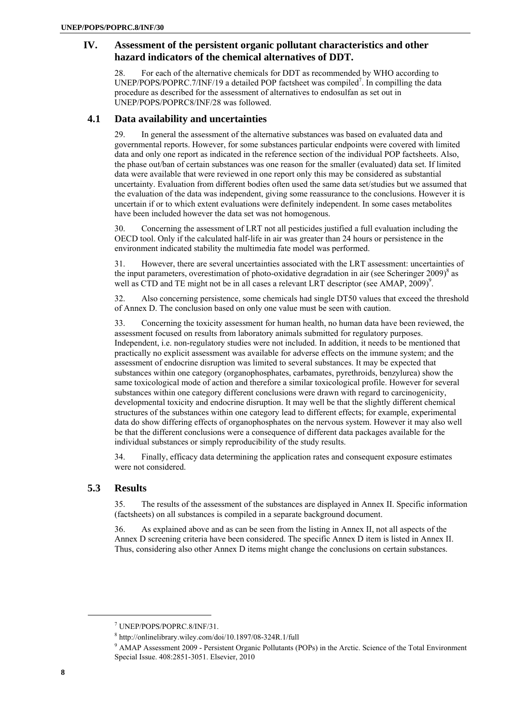## **IV. Assessment of the persistent organic pollutant characteristics and other hazard indicators of the chemical alternatives of DDT.**

28. For each of the alternative chemicals for DDT as recommended by WHO according to UNEP/POPS/POPRC.7/INF/19 a detailed POP factsheet was compiled<sup>7</sup>. In compilling the data procedure as described for the assessment of alternatives to endosulfan as set out in UNEP/POPS/POPRC8/INF/28 was followed.

#### **4.1 Data availability and uncertainties**

29. In general the assessment of the alternative substances was based on evaluated data and governmental reports. However, for some substances particular endpoints were covered with limited data and only one report as indicated in the reference section of the individual POP factsheets. Also, the phase out/ban of certain substances was one reason for the smaller (evaluated) data set. If limited data were available that were reviewed in one report only this may be considered as substantial uncertainty. Evaluation from different bodies often used the same data set/studies but we assumed that the evaluation of the data was independent, giving some reassurance to the conclusions. However it is uncertain if or to which extent evaluations were definitely independent. In some cases metabolites have been included however the data set was not homogenous.

30. Concerning the assessment of LRT not all pesticides justified a full evaluation including the OECD tool. Only if the calculated half-life in air was greater than 24 hours or persistence in the environment indicated stability the multimedia fate model was performed.

31. However, there are several uncertainties associated with the LRT assessment: uncertainties of the input parameters, overestimation of photo-oxidative degradation in air (see Scheringer 2009)<sup>8</sup> as well as CTD and TE might not be in all cases a relevant LRT descriptor (see AMAP,  $2009$ )<sup>9</sup>.

32. Also concerning persistence, some chemicals had single DT50 values that exceed the threshold of Annex D. The conclusion based on only one value must be seen with caution.

33. Concerning the toxicity assessment for human health, no human data have been reviewed, the assessment focused on results from laboratory animals submitted for regulatory purposes. Independent, i.e. non-regulatory studies were not included. In addition, it needs to be mentioned that practically no explicit assessment was available for adverse effects on the immune system; and the assessment of endocrine disruption was limited to several substances. It may be expected that substances within one category (organophosphates, carbamates, pyrethroids, benzylurea) show the same toxicological mode of action and therefore a similar toxicological profile. However for several substances within one category different conclusions were drawn with regard to carcinogenicity, developmental toxicity and endocrine disruption. It may well be that the slightly different chemical structures of the substances within one category lead to different effects; for example, experimental data do show differing effects of organophosphates on the nervous system. However it may also well be that the different conclusions were a consequence of different data packages available for the individual substances or simply reproducibility of the study results.

34. Finally, efficacy data determining the application rates and consequent exposure estimates were not considered

## **5.3 Results**

35. The results of the assessment of the substances are displayed in Annex II. Specific information (factsheets) on all substances is compiled in a separate background document.

36. As explained above and as can be seen from the listing in Annex II, not all aspects of the Annex D screening criteria have been considered. The specific Annex D item is listed in Annex II. Thus, considering also other Annex D items might change the conclusions on certain substances.

<sup>7</sup> UNEP/POPS/POPRC.8/INF/31.

 $8$  http://onlinelibrary.wiley.com/doi/10.1897/08-324R.1/full

<sup>&</sup>lt;sup>8</sup> http://onlinelibrary.wiley.com/doi/10.1897/08-324R.1/full<br><sup>9</sup> AMAP Assessment 2009 - Persistent Organic Pollutants (POPs) in the Arctic. Science of the Total Environment Special Issue. 408:2851-3051. Elsevier, 2010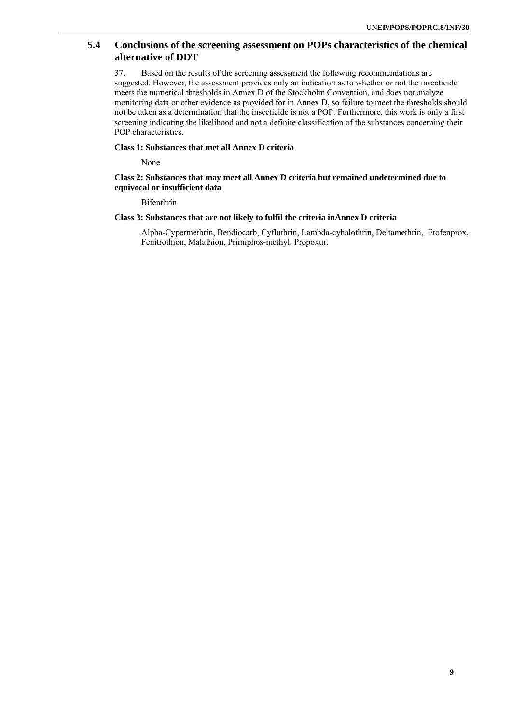## **5.4 Conclusions of the screening assessment on POPs characteristics of the chemical alternative of DDT**

37. Based on the results of the screening assessment the following recommendations are suggested. However, the assessment provides only an indication as to whether or not the insecticide meets the numerical thresholds in Annex D of the Stockholm Convention, and does not analyze monitoring data or other evidence as provided for in Annex D, so failure to meet the thresholds should not be taken as a determination that the insecticide is not a POP. Furthermore, this work is only a first screening indicating the likelihood and not a definite classification of the substances concerning their POP characteristics.

#### **Class 1: Substances that met all Annex D criteria**

None

#### **Class 2: Substances that may meet all Annex D criteria but remained undetermined due to equivocal or insufficient data**

Bifenthrin

#### **Class 3: Substances that are not likely to fulfil the criteria inAnnex D criteria**

Alpha-Cypermethrin, Bendiocarb, Cyfluthrin, Lambda-cyhalothrin, Deltamethrin, Etofenprox, Fenitrothion, Malathion, Primiphos-methyl, Propoxur.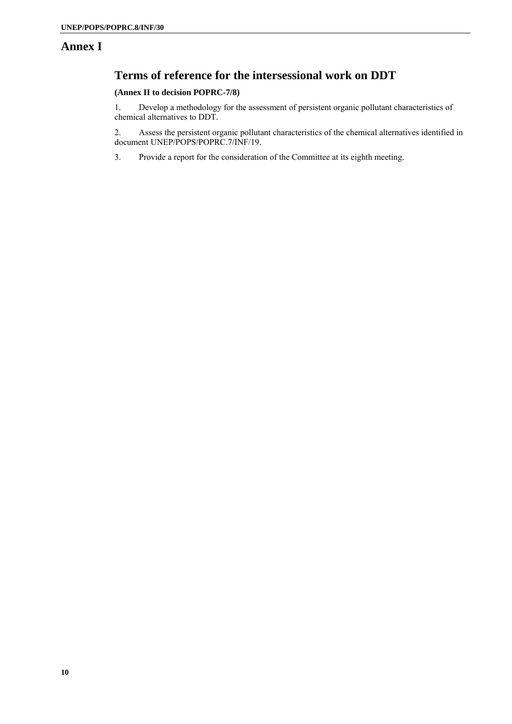## **Annex I**

## **Terms of reference for the intersessional work on DDT**

#### **(Annex II to decision POPRC-7/8)**

1. Develop a methodology for the assessment of persistent organic pollutant characteristics of chemical alternatives to DDT.

2. Assess the persistent organic pollutant characteristics of the chemical alternatives identified in document UNEP/POPS/POPRC.7/INF/19.

3. Provide a report for the consideration of the Committee at its eighth meeting.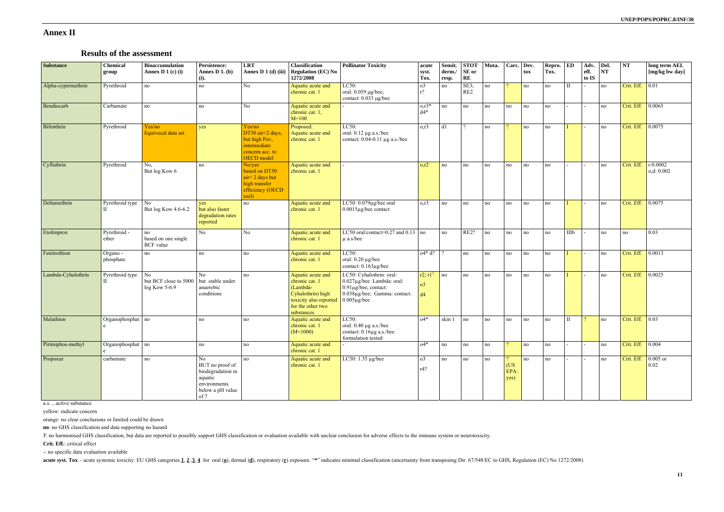## **Annex II**

## **Results of the assessment**

| <b>Substance</b>   | <b>Chemical</b><br>group | <b>Bioaccumulation</b><br>Annex D $1$ (c) (i) | Persistence:<br>Annex $D_1$ . (b)<br>(i).                                                         | <b>LRT</b><br>Annex D 1 (d) (iii)                                                            | <b>Classification</b><br><b>Regulation (EC) No</b><br>1272/2008                                                                   | <b>Pollinator Toxicity</b>                                                                                                         | acute<br>syst.<br>Tox.                             | Sensit.<br>derm./<br>resp. | <b>STOT</b><br>SE or<br>$\mathbf{RE}$ | Muta. | Carc.               | Dev.<br>tox | Repro.<br>Tox. | ED           | Adv.<br>eff.<br>to IS | Del.<br>NT | NT               | long term AEL<br>[mg/kg bw day] |
|--------------------|--------------------------|-----------------------------------------------|---------------------------------------------------------------------------------------------------|----------------------------------------------------------------------------------------------|-----------------------------------------------------------------------------------------------------------------------------------|------------------------------------------------------------------------------------------------------------------------------------|----------------------------------------------------|----------------------------|---------------------------------------|-------|---------------------|-------------|----------------|--------------|-----------------------|------------|------------------|---------------------------------|
| Alpha-cypermethrin | Pyrethroid               | no                                            | no                                                                                                | No                                                                                           | Aquatic acute and<br>chronic cat. 1                                                                                               | LC50:<br>oral: 0.059 µg/bee;<br>contact: 0.033 µg/bee                                                                              | 0 <sup>3</sup><br>$r$ ?                            | no                         | SE3;<br>RE2                           | no    | $\eta$              | no          | no             | $\mathbf{I}$ |                       | no         | Crit. Eff.       | $\vert 0.01 \vert$              |
| Bendiocarb         | Carbamate                | no                                            | no                                                                                                | N <sub>0</sub>                                                                               | Aquatic acute and<br>chronic cat. 1,<br>$M=100$                                                                                   |                                                                                                                                    | $0, r3*$<br>$d4*$                                  | no                         | no                                    | no    | no                  | no          | no             |              |                       | no         | Crit. Eff.       | 0.0065                          |
| Bifenthrin         | Pyrethroid               | Yes/no<br>Equivocal data set                  | yes                                                                                               | Yes/no<br>DT50 air<2 days,<br>but high Pov,<br>intermediate<br>concern acc. to<br>OECD model | Proposed:<br>Aquatic acute and<br>chronic cat. 1                                                                                  | LC50:<br>oral: $0.12 \mu g$ a.s./bee<br>contact: $0.04-0.11 \mu g$ a.s./bee                                                        | 0,r3                                               | d1                         | $\overline{2}$                        | no    |                     | no          | no             |              |                       | no         | Crit. Eff.       | 0.0075                          |
| Cyfluthrin         | Pyrethroid               | No,<br>But log Kow 6                          | no                                                                                                | No/yes<br>based on DT50<br>air<2 days but<br>high transfer<br>efficiency (OECD<br>tool)      | Aquatic acute and<br>chronic cat. 1                                                                                               |                                                                                                                                    | o, r2                                              | no                         | no                                    | no    | no                  | no          | no             |              |                       | no         | Crit. Eff.       | r:0.0002<br>o,d: 0.002          |
| Deltamethrin       | Pyrethroid type          | No<br>But log Kow 4.6-6.2                     | <b>ves</b><br>but also faster<br>degradation rates<br>reported                                    | no                                                                                           | Aquatic acute and<br>chronic cat. 1                                                                                               | LC50: 0.079µg/bee oral<br>0.0015µg/bee contact                                                                                     | o,r3                                               | no                         | no                                    | no    | no                  | no          | no             |              |                       | no         | Crit. Eff.       | 0.0075                          |
| Etofenprox         | Pyrethroid -<br>ether    | no<br>based on one single<br><b>BCF</b> value | No                                                                                                | No                                                                                           | Aquatic acute and<br>chronic cat. 1                                                                                               | LC50 oral/contact=0.27 and 0.13 no<br>$\mu$ a.s/bee                                                                                |                                                    | no                         | RE2?                                  | no    | no                  | no          | no             | IIIb         |                       | no         | no               | 0.03                            |
| Fenitrothion       | Organo -<br>phosphate    | no                                            | no                                                                                                | no                                                                                           | Aquatic acute and<br>chronic cat. 1                                                                                               | LC50:<br>oral: $0.20 \mu g$ /bee<br>contact: 0.163µg/bee                                                                           | $o4 * d?$                                          |                            | no                                    | no    | no                  | no          | no             |              |                       | no         | Crit. Eff.       | 0.0013                          |
| Lambda-Cyhalothrin | Pyrethroid type          | No<br>but BCF close to 5000<br>log Kow 5-6.9  | No.<br>but stable under<br>anaerobic<br>conditions                                                | no                                                                                           | Aquatic acute and<br>chronic cat. 1<br>(Lambda-<br>Cyhalothrin) high<br>toxicity also reported<br>for the other two<br>substances | LC50: Cyhalothrin: oral:<br>0.027µg/bee Lambda: oral:<br>0.91µg/bee, contact:<br>0.038µg/bee; Gamma: contact:<br>$0.005 \mu$ g/bee | r2; r1 <sup>1</sup><br>$\sigma$ <sup>3</sup><br>d4 | no                         | no                                    | no    | no                  | no          | no             |              |                       | no         | Crit. Eff.       | 0.0025                          |
| Malathion          | Organophosphat no        |                                               | no                                                                                                | no                                                                                           | Aquatic acute and<br>chronic cat. 1<br>$(M=1000)$                                                                                 | LC50:<br>oral: $0.40 \mu g$ a.s./bee<br>contact: 0.16µg a.s./bee<br>formulation tested                                             | $04*$                                              | skin 1                     | no                                    | no    | no                  | no          | no             | $\mathbf{H}$ | $\mathcal{D}$         | no         | Crit. Eff.       | $\vert 0.03 \vert$              |
| Pirimiphos-methyl  | Organophosphat no        |                                               | no                                                                                                | no                                                                                           | Aquatic acute and<br>chronic cat. 1                                                                                               |                                                                                                                                    | $04*$                                              | no                         | no                                    | no    | $\eta$              | no          | no             |              |                       | no         | Crit. Eff. 0.004 |                                 |
| Propoxur           | carbamate                | no                                            | No<br>BUT no proof of<br>biodegradation in<br>aquatic<br>environments<br>below a pH value<br>of 7 | no                                                                                           | Aquatic acute and<br>chronic cat. 1                                                                                               | LC50: 1.35 µg/bee                                                                                                                  | o <sub>3</sub><br>r4?                              | no                         | no                                    | no    | (US<br>EPA:<br>yes) | no          | no             |              |                       | no         | Crit. Eff.       | $\vert$ 0.005 or<br>0.02        |

a.s. ...active substance

yellow: indicate concern

orange: no clear conclusions or limited could be drawn

**no**: no GHS classification and data supporting no hazard

**?**: no harmonised GHS classification, but data are reported to possibly support GHS classification or evaluation available with unclear conclusion for adverse effects to the immune system or neurotoxicity.

**Crit. Eff.**: critical effect

-: no specific data evaluation available

acute syst. Tox. - acute systemic toxicity: EU GHS categories 1, 2,3, 4 for oral (o), dermal (d), respiratory (r) exposure. "\*" indicates minimal classification (uncertainty from transposing Dir. 67/548/EC to GHS, Regulati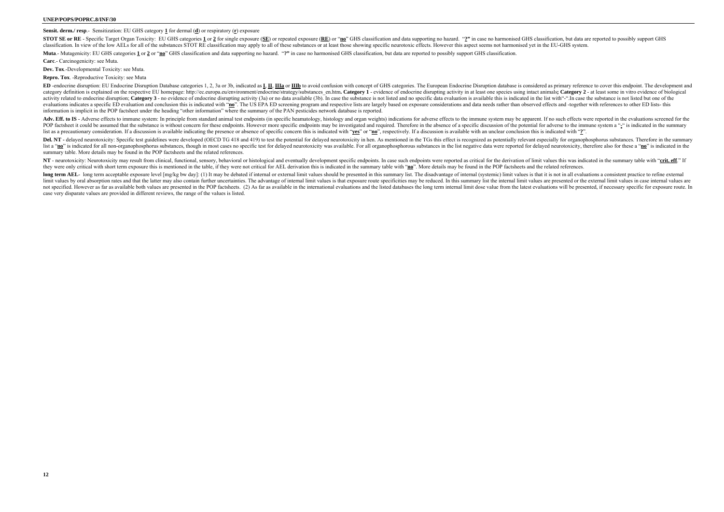#### **Sensit. derm./ resp**.- Sensitization: EU GHS category **1** for dermal (**d**) or respiratory (**r**) exposure

STOT SE or RE - Specific Target Organ Toxicity: EU GHS categories 1 or 2 for single exposure (SE) or repeated exposure (RE) or "no" GHS classification and data supporting no hazard. "2" in case no harmonised GHS classifica classification. In view of the low AELs for all of the substances STOT RE classification may apply to all of these substances or at least those showing specific neurotoxic effects. However this aspect seems not harmonised Muta.- Mutagenicity: EU GHS categories 1 or 2 or "no" GHS classification and data supporting no hazard. "?" in case no harmonised GHS classification, but data are reported to possibly support GHS classification.

**Carc**.- Carcinogenicity: see Muta.

**Dev. Tox**.-Developmental Toxicity: see Muta.

**Repro. Tox**. -Reproductive Toxicity: see Muta

ED -endocrine disruption: EU Endocrine Disruption Database categories 1, 2, 3a or 3b, indicated as L, II, IIIa or IIIb to avoid confusion with concept of GHS categories. The European Endocrine Disruption database is consid category definition is explained on the respective EU homepage: http://ec.europa.eu/environment/endocrine/strategy/substances en.htm. Category 1 - evidence of endocrine disrupting activity in at least one species using int activity related to endocrine disruption; Category 3 - no evidence of endocrine disrupting activity (3a) or no data available (3b). In case the substance is not listed and no specific data evaluation is available this is i evaluations indicates a specific ED evaluation and conclusion this is indicated with "no". The US EPA ED screening program and respective lists are largely based on exposure considerations and data needs rather than observ information is implicit in the POP factsheet under the heading "other information" where the summary of the PAN pesticides network database is reported.

Adv. Eff. to IS - Adverse effects to immune system: In principle from standard animal test endpoints (in specific heamatology, histology and organ weights) indications for adverse effects to the immune system may be appare POP factsheet it could be assumed that the substance is without concern for these endpoints. However more specific endpoints may be investigated and required. Therefore in the absence of a specific discussion of the potent list as a precautionary consideration. If a discussion is available indicating the presence or absence of specific concern this is indicated with "yes" or "no", respectively. If a discussion is available with an unclear co Del. NT - delayed neurotoxicity: Specific test guidelines were developed (OECD TG 418 and 419) to test the potential for delayed neurotoxicity in hen. As mentioned in the TGs this effect is recognized as potentially releva list a "no" is indicated for all non-organophosphorus substances, though in most cases no specific test for delayed neurotoxicity was available. For all organophosphorous substances in the list negative data were reported summary table. More details may be found in the POP factsheets and the related references.

NT - neurotoxicity: Neurotoxicity may result from clinical, functional, sensory, behavioral or histological and eventually development specific endpoints. In case such endpoints were reported as critical for the derivation they were only critical with short term exposure this is mentioned in the table, if they were not critical for AEL derivation this is indicated in the summary table with "no". More details may be found in the POP factsheet

long term AEL- long term acceptable exposure level [mg/kg bw day]; (1) It may be debated if internal or external limit values should be presented in this summary list. The disadvantage of internal (systemic) limit values i limit values by oral absorption rates and that the latter may also contain further uncertainties. The advantage of internal limit values is that exposure route specificities may be reduced. In this summary list the interna not specified. However as far as available both values are presented in the POP factsheets. (2) As far as available in the international evaluations and the listed databases the long term internal limit dose value from the case very disparate values are provided in different reviews, the range of the values is listed.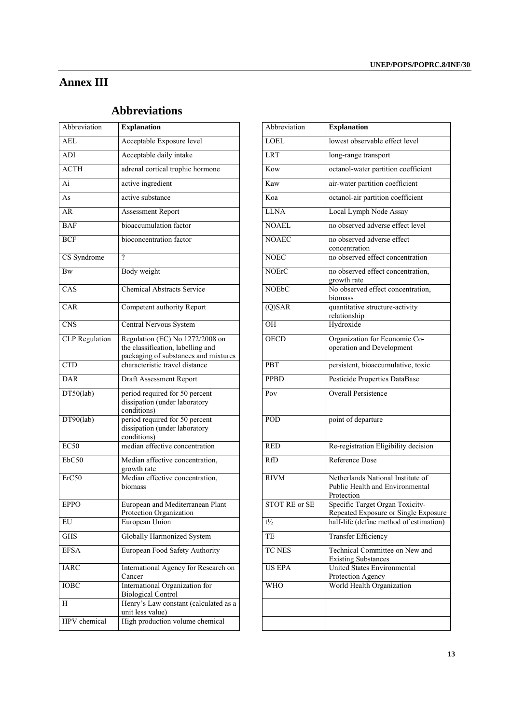# **Annex III**

# **Abbreviations**

| Abbreviation          | <b>Explanation</b>                                                                                           | Abbreviation         | <b>Explanation</b>                                                                 |
|-----------------------|--------------------------------------------------------------------------------------------------------------|----------------------|------------------------------------------------------------------------------------|
| $\overline{AEL}$      | Acceptable Exposure level                                                                                    | <b>LOEL</b>          | lowest observable effect level                                                     |
| ADI                   | Acceptable daily intake                                                                                      | <b>LRT</b>           | long-range transport                                                               |
| <b>ACTH</b>           | adrenal cortical trophic hormone                                                                             | Kow                  | octanol-water partition coefficient                                                |
| Ai                    | active ingredient                                                                                            | Kaw                  | air-water partition coefficient                                                    |
| As                    | active substance                                                                                             | Koa                  | octanol-air partition coefficient                                                  |
| AR                    | Assessment Report                                                                                            | <b>LLNA</b>          | Local Lymph Node Assay                                                             |
| <b>BAF</b>            | bioaccumulation factor                                                                                       | <b>NOAEL</b>         | no observed adverse effect level                                                   |
| <b>BCF</b>            | bioconcentration factor                                                                                      | <b>NOAEC</b>         | no observed adverse effect<br>concentration                                        |
| CS Syndrome           | $\gamma$                                                                                                     | <b>NOEC</b>          | no observed effect concentration                                                   |
| <b>Bw</b>             | Body weight                                                                                                  | <b>NOErC</b>         | no observed effect concentration,<br>growth rate                                   |
| CAS                   | <b>Chemical Abstracts Service</b>                                                                            | <b>NOEbC</b>         | No observed effect concentration,<br>biomass                                       |
| CAR                   | Competent authority Report                                                                                   | $(Q)$ SAR            | quantitative structure-activity<br>relationship                                    |
| <b>CNS</b>            | Central Nervous System                                                                                       | OH                   | Hydroxide                                                                          |
| <b>CLP</b> Regulation | Regulation (EC) No 1272/2008 on<br>the classification, labelling and<br>packaging of substances and mixtures | <b>OECD</b>          | Organization for Economic Co-<br>operation and Development                         |
| <b>CTD</b>            | characteristic travel distance                                                                               | <b>PBT</b>           | persistent, bioaccumulative, toxic                                                 |
| <b>DAR</b>            | Draft Assessment Report                                                                                      | <b>PPBD</b>          | Pesticide Properties DataBase                                                      |
| DT50(lab)             | period required for 50 percent<br>dissipation (under laboratory<br>conditions)                               | Pov                  | <b>Overall Persistence</b>                                                         |
| DT90(lab)             | period required for 50 percent<br>dissipation (under laboratory<br>conditions)                               | POD                  | point of departure                                                                 |
| EC50                  | median effective concentration                                                                               | <b>RED</b>           | Re-registration Eligibility decision                                               |
| EbC50                 | Median affective concentration,<br>growth rate                                                               | <b>RfD</b>           | <b>Reference Dose</b>                                                              |
| ErC50                 | Median effective concentration,<br>biomass                                                                   | <b>RIVM</b>          | Netherlands National Institute of<br>Public Health and Environmental<br>Protection |
| <b>EPPO</b>           | European and Mediterranean Plant<br>Protection Organization                                                  | <b>STOT RE or SE</b> | Specific Target Organ Toxicity-<br>Repeated Exposure or Single Expo                |
| EU                    | European Union                                                                                               | $t\frac{1}{2}$       | half-life (define method of estimati                                               |
| <b>GHS</b>            | <b>Globally Harmonized System</b>                                                                            | TE                   | <b>Transfer Efficiency</b>                                                         |
| <b>EFSA</b>           | European Food Safety Authority                                                                               | TC NES               | Technical Committee on New and<br><b>Existing Substances</b>                       |
| <b>IARC</b>           | International Agency for Research on<br>Cancer                                                               | <b>US EPA</b>        | United States Environmental<br>Protection Agency                                   |
| <b>IOBC</b>           | International Organization for<br><b>Biological Control</b>                                                  | <b>WHO</b>           | World Health Organization                                                          |
| H                     | Henry's Law constant (calculated as a<br>unit less value)                                                    |                      |                                                                                    |
| HPV chemical          | High production volume chemical                                                                              |                      |                                                                                    |

| Abbreviation            | <b>Explanation</b>                                                                                           | Abbreviation         | <b>Explanation</b>                                                                 |
|-------------------------|--------------------------------------------------------------------------------------------------------------|----------------------|------------------------------------------------------------------------------------|
| AEL                     | Acceptable Exposure level                                                                                    | <b>LOEL</b>          | lowest observable effect level                                                     |
| ADI                     | Acceptable daily intake                                                                                      | <b>LRT</b>           | long-range transport                                                               |
| <b>ACTH</b>             | adrenal cortical trophic hormone                                                                             | Kow                  | octanol-water partition coefficient                                                |
| Ai                      | active ingredient                                                                                            | Kaw                  | air-water partition coefficient                                                    |
| As                      | active substance                                                                                             | Koa                  | octanol-air partition coefficient                                                  |
| AR                      | Assessment Report                                                                                            | <b>LLNA</b>          | Local Lymph Node Assay                                                             |
| <b>BAF</b>              | bioaccumulation factor                                                                                       | <b>NOAEL</b>         | no observed adverse effect level                                                   |
| <b>BCF</b>              | bioconcentration factor                                                                                      | <b>NOAEC</b>         | no observed adverse effect<br>concentration                                        |
| CS Syndrome             | $\overline{?}$                                                                                               | <b>NOEC</b>          | no observed effect concentration                                                   |
| Bw                      | Body weight                                                                                                  | <b>NOErC</b>         | no observed effect concentration,<br>growth rate                                   |
| $\overline{\text{CAS}}$ | <b>Chemical Abstracts Service</b>                                                                            | <b>NOEbC</b>         | No observed effect concentration,<br>biomass                                       |
| CAR                     | Competent authority Report                                                                                   | $\overline{(Q)SAR}$  | quantitative structure-activity<br>relationship                                    |
| <b>CNS</b>              | Central Nervous System                                                                                       | OH                   | Hydroxide                                                                          |
| <b>CLP</b> Regulation   | Regulation (EC) No 1272/2008 on<br>the classification, labelling and<br>packaging of substances and mixtures | <b>OECD</b>          | Organization for Economic Co-<br>operation and Development                         |
| <b>CTD</b>              | characteristic travel distance                                                                               | PBT                  | persistent, bioaccumulative, toxic                                                 |
| DAR                     | Draft Assessment Report                                                                                      | <b>PPBD</b>          | Pesticide Properties DataBase                                                      |
| DT50(lab)               | period required for 50 percent<br>dissipation (under laboratory<br>conditions)                               | Pov                  | <b>Overall Persistence</b>                                                         |
| DT90(lab)               | period required for 50 percent<br>dissipation (under laboratory<br>conditions)                               | POD                  | point of departure                                                                 |
| EC50                    | median effective concentration                                                                               | <b>RED</b>           | Re-registration Eligibility decision                                               |
| EbC50                   | Median affective concentration,<br>growth rate                                                               | <b>RfD</b>           | Reference Dose                                                                     |
| ErC50                   | Median effective concentration,<br>biomass                                                                   | <b>RIVM</b>          | Netherlands National Institute of<br>Public Health and Environmental<br>Protection |
| <b>EPPO</b>             | European and Mediterranean Plant<br>Protection Organization                                                  | <b>STOT RE or SE</b> | Specific Target Organ Toxicity-<br>Repeated Exposure or Single Exposure            |
| EU                      | European Union                                                                                               | $t\frac{1}{2}$       | half-life (define method of estimation)                                            |
| $\overline{\text{GHS}}$ | Globally Harmonized System                                                                                   | TE                   | <b>Transfer Efficiency</b>                                                         |
| <b>EFSA</b>             | European Food Safety Authority                                                                               | <b>TC NES</b>        | Technical Committee on New and<br><b>Existing Substances</b>                       |
| <b>IARC</b>             | International Agency for Research on<br>Cancer                                                               | <b>US EPA</b>        | <b>United States Environmental</b><br>Protection Agency                            |
| <b>IOBC</b>             | International Organization for<br><b>Biological Control</b>                                                  | <b>WHO</b>           | World Health Organization                                                          |
| H                       | Henry's Law constant (calculated as a<br>unit less value)                                                    |                      |                                                                                    |
| HPV chemical            | High production volume chemical                                                                              |                      |                                                                                    |